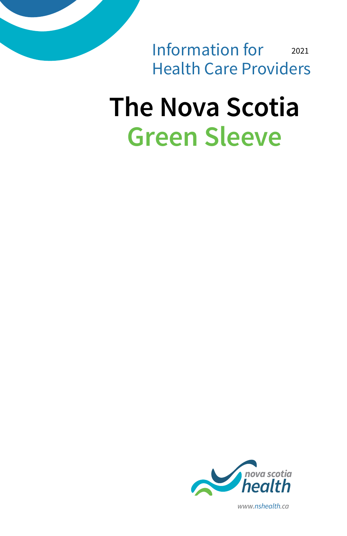2021 Information for Health Care Providers

# **The Nova Scotia Green Sleeve**



*www.nshealth.ca*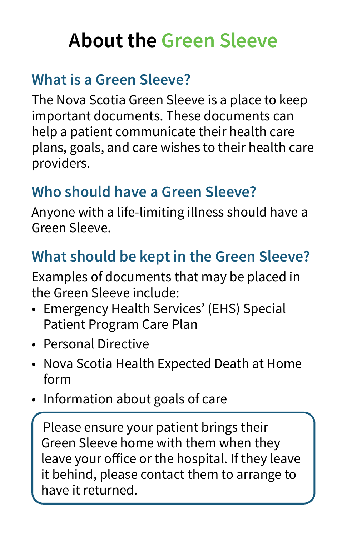## **About the Green Sleeve**

### **What is a Green Sleeve?**

The Nova Scotia Green Sleeve is a place to keep important documents. These documents can help a patient communicate their health care plans, goals, and care wishes to their health care providers.

### **Who should have a Green Sleeve?**

Anyone with a life-limiting illness should have a Green Sleeve.

### **What should be kept in the Green Sleeve?**

Examples of documents that may be placed in the Green Sleeve include:

- Emergency Health Services' (EHS) Special Patient Program Care Plan
- Personal Directive
- Nova Scotia Health Expected Death at Home form
- Information about goals of care

Please ensure your patient brings their Green Sleeve home with them when they leave your office or the hospital. If they leave it behind, please contact them to arrange to have it returned.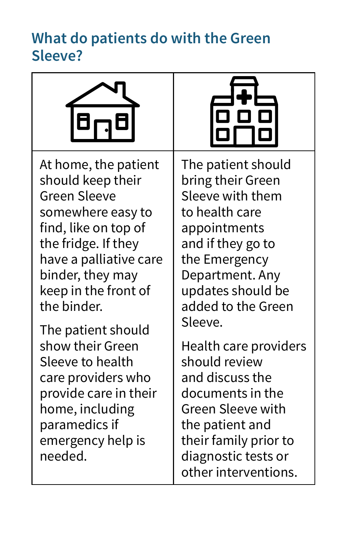#### **What do patients do with the Green Sleeve?**





At home, the patient should keep their Green Sleeve somewhere easy to find, like on top of the fridge. If they have a palliative care binder, they may keep in the front of the binder.

The patient should show their Green Sleeve to health care providers who provide care in their home, including paramedics if emergency help is needed.

The patient should bring their Green Sleeve with them to health care appointments and if they go to the Emergency Department. Any updates should be added to the Green Sleeve.

Health care providers should review and discuss the documents in the Green Sleeve with the patient and their family prior to diagnostic tests or other interventions.